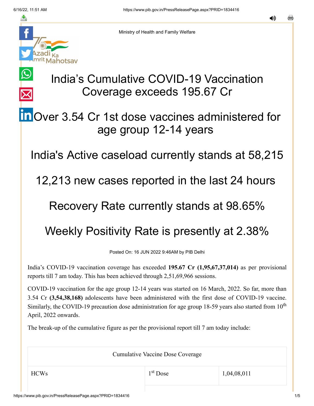$\bigcirc$ 

 $\overline{\times}$ 



Ministry of Health and Family Welfare

# India's Cumulative COVID-19 Vaccination Coverage exceeds 195.67 Cr

## **in** [O](https://www.linkedin.com/shareArticle?mini=true&url=https://pib.gov.in/PressReleasePage.aspx?PRID=1834416&title=India%E2%80%99s%20Cumulative%20COVID-19%20Vaccination%20Coverage%20exceeds%20195.67%20Cr&summary=My%20favorite%20developer%20program&source=LinkedIn)ver 3.54 Cr 1st dose vaccines administered for age group 12-14 years

India's Active caseload currently stands at 58,215

12,213 new cases reported in the last 24 hours

#### Recovery Rate currently stands at 98.65%

## Weekly Positivity Rate is presently at 2.38%

Posted On: 16 JUN 2022 9:46AM by PIB Delhi

India's COVID-19 vaccination coverage has exceeded **195.67 Cr (1,95,67,37,014)** as per provisional reports till 7 am today. This has been achieved through 2,51,69,966 sessions.

COVID-19 vaccination for the age group 12-14 years was started on 16 March, 2022. So far, more than 3.54 Cr **(3,54,38,168)** adolescents have been administered with the first dose of COVID-19 vaccine. Similarly, the COVID-19 precaution dose administration for age group 18-59 years also started from  $10<sup>th</sup>$ April, 2022 onwards.

The break-up of the cumulative figure as per the provisional report till 7 am today include:

Cumulative Vaccine Dose Coverage

1<sup>st</sup> Dose

 $1^{\text{st}}$  Dose 1,04,08,011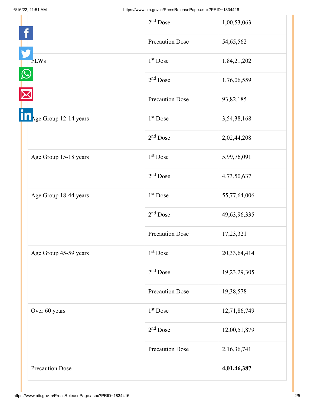|                       | $2nd$ Dose             | 1,00,53,063  |
|-----------------------|------------------------|--------------|
|                       | <b>Precaution Dose</b> | 54,65,562    |
| <b>FLWs</b>           | $1st$ Dose             | 1,84,21,202  |
|                       | $2nd$ Dose             | 1,76,06,559  |
|                       | <b>Precaution Dose</b> | 93,82,185    |
| Age Group 12-14 years | 1 <sup>st</sup> Dose   | 3,54,38,168  |
|                       | $2nd$ Dose             | 2,02,44,208  |
| Age Group 15-18 years | 1 <sup>st</sup> Dose   | 5,99,76,091  |
|                       | $2nd$ Dose             | 4,73,50,637  |
| Age Group 18-44 years | 1 <sup>st</sup> Dose   | 55,77,64,006 |
|                       | $2nd$ Dose             | 49,63,96,335 |
|                       | <b>Precaution Dose</b> | 17,23,321    |
| Age Group 45-59 years | 1 <sup>st</sup> Dose   | 20,33,64,414 |
|                       | $2nd$ Dose             | 19,23,29,305 |
|                       | <b>Precaution Dose</b> | 19,38,578    |
| Over 60 years         | 1 <sup>st</sup> Dose   | 12,71,86,749 |
|                       | $2nd$ Dose             | 12,00,51,879 |
|                       | <b>Precaution Dose</b> | 2,16,36,741  |
| Precaution Dose       |                        | 4,01,46,387  |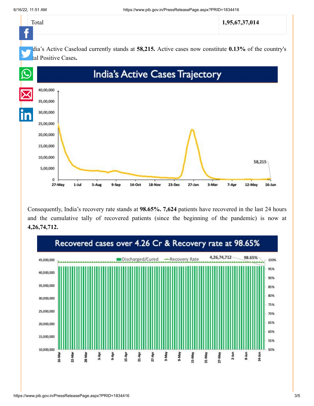$\theta$ 27-May

 $1 -$ Jul

 $5-Au$ 



Consequently, India's recovery rate stands at **98.65%. 7,624** patients have recovered in the last 24 hours and the cumulative tally of recovered patients (since the beginning of the pandemic) is now at **4,26,74,712.**

18-Nov

 $23 - Dec$ 

 $27 - Jan$ 

3-Mar

7-Apr

12-May

 $16 - Jun$ 

 $14-Oct$ 

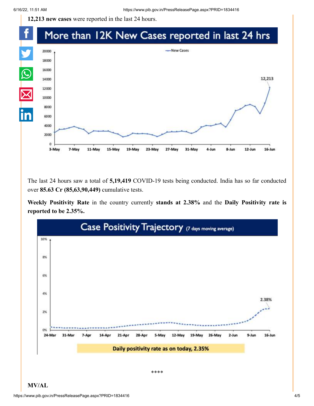**12,213 new cases** were reported in the last 24 hours.

#### f More than 12K New Cases reported in last 24 hrs Y -New Cases 20000 18000  $\Omega$ 16000 12,213 14000  $\overline{\boxtimes}$ 12000 10000 8000 6000 4000 2000  $\Omega$ 11-May 12-Jun  $16 - Jun$ 3-May 7-May 15-May 19-May 23-May 27-May 31-May 4-Jun 8-Jun

The last 24 hours saw a total of **5,19,419** COVID-19 tests being conducted. India has so far conducted over **85.63 Cr (85,63,90,449)** cumulative tests.

**Weekly Positivity Rate** in the country currently **stands at 2.38%** and the **Daily Positivity rate is reported to be 2.35%.**